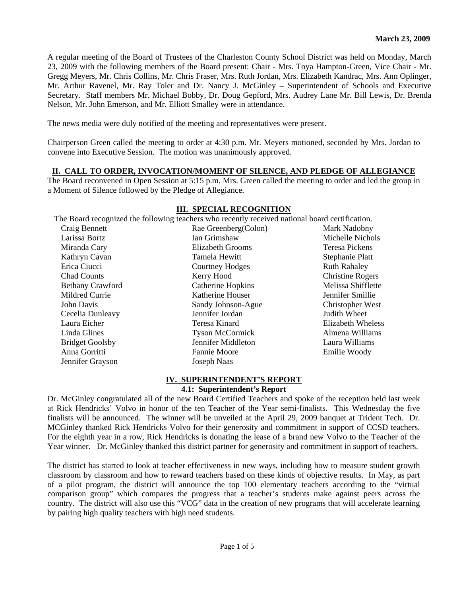A regular meeting of the Board of Trustees of the Charleston County School District was held on Monday, March 23, 2009 with the following members of the Board present: Chair - Mrs. Toya Hampton-Green, Vice Chair - Mr. Gregg Meyers, Mr. Chris Collins, Mr. Chris Fraser, Mrs. Ruth Jordan, Mrs. Elizabeth Kandrac, Mrs. Ann Oplinger, Mr. Arthur Ravenel, Mr. Ray Toler and Dr. Nancy J. McGinley – Superintendent of Schools and Executive Secretary. Staff members Mr. Michael Bobby, Dr. Doug Gepford, Mrs. Audrey Lane Mr. Bill Lewis, Dr. Brenda Nelson, Mr. John Emerson, and Mr. Elliott Smalley were in attendance.

The news media were duly notified of the meeting and representatives were present.

Chairperson Green called the meeting to order at 4:30 p.m. Mr. Meyers motioned, seconded by Mrs. Jordan to convene into Executive Session. The motion was unanimously approved.

## **II. CALL TO ORDER, INVOCATION/MOMENT OF SILENCE, AND PLEDGE OF ALLEGIANCE**

The Board reconvened in Open Session at 5:15 p.m. Mrs. Green called the meeting to order and led the group in a Moment of Silence followed by the Pledge of Allegiance.

|                         | The Board recognized the following teachers who recently received national board certification. |                         |
|-------------------------|-------------------------------------------------------------------------------------------------|-------------------------|
| Craig Bennett           | Rae Greenberg(Colon)                                                                            | Mark Nadobny            |
| Larissa Bortz           | Ian Grimshaw                                                                                    | Michelle Nichols        |
| Miranda Cary            | Elizabeth Grooms                                                                                | Teresa Pickens          |
| Kathryn Cavan           | Tamela Hewitt                                                                                   | Stephanie Platt         |
| Erica Ciucci            | <b>Courtney Hodges</b>                                                                          | <b>Ruth Rahaley</b>     |
| <b>Chad Counts</b>      | Kerry Hood                                                                                      | <b>Christine Rogers</b> |
| <b>Bethany Crawford</b> | Catherine Hopkins                                                                               | Melissa Shifflette      |
| Mildred Currie          | Katherine Houser                                                                                | Jennifer Smillie        |
| John Davis              | Sandy Johnson-Ague                                                                              | Christopher West        |
| Cecelia Dunleavy        | Jennifer Jordan                                                                                 | Judith Wheet            |
| Laura Eicher            | Teresa Kinard                                                                                   | Elizabeth Wheless       |
| Linda Glines            | <b>Tyson McCormick</b>                                                                          | Almena Williams         |
| <b>Bridget Goolsby</b>  | Jennifer Middleton                                                                              | Laura Williams          |
| Anna Gorritti           | Fannie Moore                                                                                    | Emilie Woody            |
| Jennifer Grayson        | Joseph Naas                                                                                     |                         |

#### **III. SPECIAL RECOGNITION**

#### **IV. SUPERINTENDENT'S REPORT**

## **4.1: Superintendent's Report**

Dr. McGinley congratulated all of the new Board Certified Teachers and spoke of the reception held last week at Rick Hendricks' Volvo in honor of the ten Teacher of the Year semi-finalists. This Wednesday the five finalists will be announced. The winner will be unveiled at the April 29, 2009 banquet at Trident Tech. Dr. MCGinley thanked Rick Hendricks Volvo for their generosity and commitment in support of CCSD teachers. For the eighth year in a row, Rick Hendricks is donating the lease of a brand new Volvo to the Teacher of the Year winner. Dr. McGinley thanked this district partner for generosity and commitment in support of teachers.

The district has started to look at teacher effectiveness in new ways, including how to measure student growth classroom by classroom and how to reward teachers based on these kinds of objective results. In May, as part of a pilot program, the district will announce the top 100 elementary teachers according to the "virtual comparison group" which compares the progress that a teacher's students make against peers across the country. The district will also use this "VCG" data in the creation of new programs that will accelerate learning by pairing high quality teachers with high need students.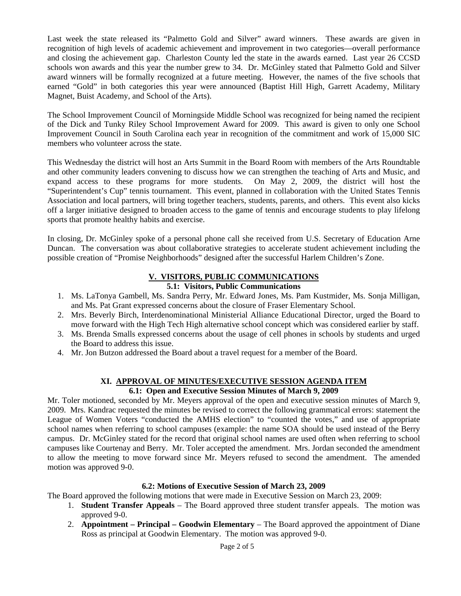Last week the state released its "Palmetto Gold and Silver" award winners. These awards are given in recognition of high levels of academic achievement and improvement in two categories—overall performance and closing the achievement gap. Charleston County led the state in the awards earned. Last year 26 CCSD schools won awards and this year the number grew to 34. Dr. McGinley stated that Palmetto Gold and Silver award winners will be formally recognized at a future meeting. However, the names of the five schools that earned "Gold" in both categories this year were announced (Baptist Hill High, Garrett Academy, Military Magnet, Buist Academy, and School of the Arts).

The School Improvement Council of Morningside Middle School was recognized for being named the recipient of the Dick and Tunky Riley School Improvement Award for 2009. This award is given to only one School Improvement Council in South Carolina each year in recognition of the commitment and work of 15,000 SIC members who volunteer across the state.

This Wednesday the district will host an Arts Summit in the Board Room with members of the Arts Roundtable and other community leaders convening to discuss how we can strengthen the teaching of Arts and Music, and expand access to these programs for more students. On May 2, 2009, the district will host the "Superintendent's Cup" tennis tournament. This event, planned in collaboration with the United States Tennis Association and local partners, will bring together teachers, students, parents, and others. This event also kicks off a larger initiative designed to broaden access to the game of tennis and encourage students to play lifelong sports that promote healthy habits and exercise.

In closing, Dr. McGinley spoke of a personal phone call she received from U.S. Secretary of Education Arne Duncan. The conversation was about collaborative strategies to accelerate student achievement including the possible creation of "Promise Neighborhoods" designed after the successful Harlem Children's Zone.

# **V. VISITORS, PUBLIC COMMUNICATIONS**

### **5.1: Visitors, Public Communications**

- 1. Ms. LaTonya Gambell, Ms. Sandra Perry, Mr. Edward Jones, Ms. Pam Kustmider, Ms. Sonja Milligan, and Ms. Pat Grant expressed concerns about the closure of Fraser Elementary School.
- 2. Mrs. Beverly Birch, Interdenominational Ministerial Alliance Educational Director, urged the Board to move forward with the High Tech High alternative school concept which was considered earlier by staff.
- 3. Ms. Brenda Smalls expressed concerns about the usage of cell phones in schools by students and urged the Board to address this issue.
- 4. Mr. Jon Butzon addressed the Board about a travel request for a member of the Board.

# **XI. APPROVAL OF MINUTES/EXECUTIVE SESSION AGENDA ITEM**

#### **6.1: Open and Executive Session Minutes of March 9, 2009**

Mr. Toler motioned, seconded by Mr. Meyers approval of the open and executive session minutes of March 9, 2009. Mrs. Kandrac requested the minutes be revised to correct the following grammatical errors: statement the League of Women Voters "conducted the AMHS election" to "counted the votes," and use of appropriate school names when referring to school campuses (example: the name SOA should be used instead of the Berry campus. Dr. McGinley stated for the record that original school names are used often when referring to school campuses like Courtenay and Berry. Mr. Toler accepted the amendment. Mrs. Jordan seconded the amendment to allow the meeting to move forward since Mr. Meyers refused to second the amendment. The amended motion was approved 9-0.

## **6.2: Motions of Executive Session of March 23, 2009**

The Board approved the following motions that were made in Executive Session on March 23, 2009:

- 1. **Student Transfer Appeals** The Board approved three student transfer appeals. The motion was approved 9-0.
- 2. **Appointment Principal Goodwin Elementary** The Board approved the appointment of Diane Ross as principal at Goodwin Elementary. The motion was approved 9-0.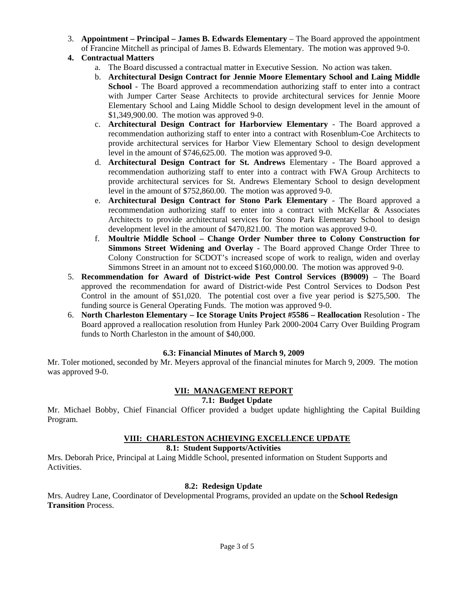- 3. **Appointment Principal James B. Edwards Elementary** The Board approved the appointment of Francine Mitchell as principal of James B. Edwards Elementary. The motion was approved 9-0.
- **4. Contractual Matters** 
	- a. The Board discussed a contractual matter in Executive Session. No action was taken.
	- b. **Architectural Design Contract for Jennie Moore Elementary School and Laing Middle School** - The Board approved a recommendation authorizing staff to enter into a contract with Jumper Carter Sease Architects to provide architectural services for Jennie Moore Elementary School and Laing Middle School to design development level in the amount of \$1,349,900.00. The motion was approved 9-0.
	- c. **Architectural Design Contract for Harborview Elementary** The Board approved a recommendation authorizing staff to enter into a contract with Rosenblum-Coe Architects to provide architectural services for Harbor View Elementary School to design development level in the amount of \$746,625.00. The motion was approved 9-0.
	- d. **Architectural Design Contract for St. Andrews** Elementary The Board approved a recommendation authorizing staff to enter into a contract with FWA Group Architects to provide architectural services for St. Andrews Elementary School to design development level in the amount of \$752,860.00. The motion was approved 9-0.
	- e. **Architectural Design Contract for Stono Park Elementary** The Board approved a recommendation authorizing staff to enter into a contract with McKellar & Associates Architects to provide architectural services for Stono Park Elementary School to design development level in the amount of \$470,821.00. The motion was approved 9-0.
	- f. **Moultrie Middle School Change Order Number three to Colony Construction for Simmons Street Widening and Overlay** - The Board approved Change Order Three to Colony Construction for SCDOT's increased scope of work to realign, widen and overlay Simmons Street in an amount not to exceed \$160,000.00. The motion was approved 9-0.
- 5. **Recommendation for Award of District-wide Pest Control Services (B9009)** The Board approved the recommendation for award of District-wide Pest Control Services to Dodson Pest Control in the amount of \$51,020. The potential cost over a five year period is \$275,500. The funding source is General Operating Funds. The motion was approved 9-0.
- 6. **North Charleston Elementary Ice Storage Units Project #5586 Reallocation** Resolution The Board approved a reallocation resolution from Hunley Park 2000-2004 Carry Over Building Program funds to North Charleston in the amount of \$40,000.

## **6.3: Financial Minutes of March 9, 2009**

Mr. Toler motioned, seconded by Mr. Meyers approval of the financial minutes for March 9, 2009. The motion was approved 9-0.

# **VII: MANAGEMENT REPORT**

## **7.1: Budget Update**

Mr. Michael Bobby, Chief Financial Officer provided a budget update highlighting the Capital Building Program.

## **VIII: CHARLESTON ACHIEVING EXCELLENCE UPDATE**

# **8.1: Student Supports/Activities**

Mrs. Deborah Price, Principal at Laing Middle School, presented information on Student Supports and Activities.

## **8.2: Redesign Update**

Mrs. Audrey Lane, Coordinator of Developmental Programs, provided an update on the **School Redesign Transition** Process.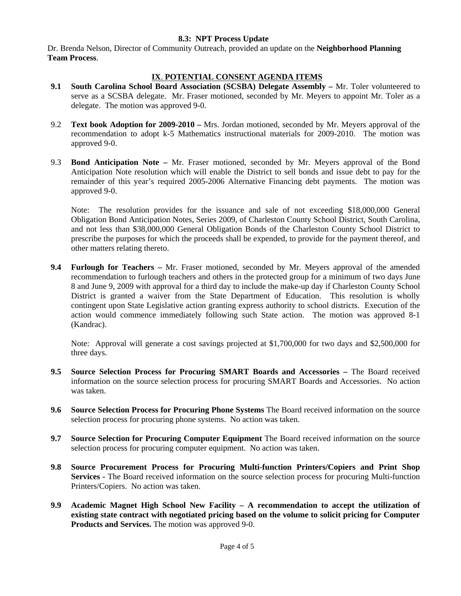#### **8.3: NPT Process Update**

Dr. Brenda Nelson, Director of Community Outreach, provided an update on the **Neighborhood Planning Team Process**.

## **IX**. **POTENTIAL CONSENT AGENDA ITEMS**

- **9.1 South Carolina School Board Association (SCSBA) Delegate Assembly** Mr. Toler volunteered to serve as a SCSBA delegate. Mr. Fraser motioned, seconded by Mr. Meyers to appoint Mr. Toler as a delegate. The motion was approved 9-0.
- 9.2 **Text book Adoption for 2009-2010** Mrs. Jordan motioned, seconded by Mr. Meyers approval of the recommendation to adopt k-5 Mathematics instructional materials for 2009-2010. The motion was approved 9-0.
- 9.3 **Bond Anticipation Note** Mr. Fraser motioned, seconded by Mr. Meyers approval of the Bond Anticipation Note resolution which will enable the District to sell bonds and issue debt to pay for the remainder of this year's required 2005-2006 Alternative Financing debt payments. The motion was approved 9-0.

Note: The resolution provides for the issuance and sale of not exceeding \$18,000,000 General Obligation Bond Anticipation Notes, Series 2009, of Charleston County School District, South Carolina, and not less than \$38,000,000 General Obligation Bonds of the Charleston County School District to prescribe the purposes for which the proceeds shall be expended, to provide for the payment thereof, and other matters relating thereto.

**9.4 Furlough for Teachers –** Mr. Fraser motioned, seconded by Mr. Meyers approval of the amended recommendation to furlough teachers and others in the protected group for a minimum of two days June 8 and June 9, 2009 with approval for a third day to include the make-up day if Charleston County School District is granted a waiver from the State Department of Education. This resolution is wholly contingent upon State Legislative action granting express authority to school districts. Execution of the action would commence immediately following such State action. The motion was approved 8-1 (Kandrac).

Note: Approval will generate a cost savings projected at \$1,700,000 for two days and \$2,500,000 for three days.

- **9.5 Source Selection Process for Procuring SMART Boards and Accessories** The Board received information on the source selection process for procuring SMART Boards and Accessories. No action was taken.
- **9.6 Source Selection Process for Procuring Phone Systems** The Board received information on the source selection process for procuring phone systems. No action was taken.
- **9.7 Source Selection for Procuring Computer Equipment** The Board received information on the source selection process for procuring computer equipment. No action was taken.
- **9.8 Source Procurement Process for Procuring Multi-function Printers/Copiers and Print Shop Services -** The Board received information on the source selection process for procuring Multi-function Printers/Copiers. No action was taken.
- **9.9 Academic Magnet High School New Facility A recommendation to accept the utilization of existing state contract with negotiated pricing based on the volume to solicit pricing for Computer Products and Services.** The motion was approved 9-0.